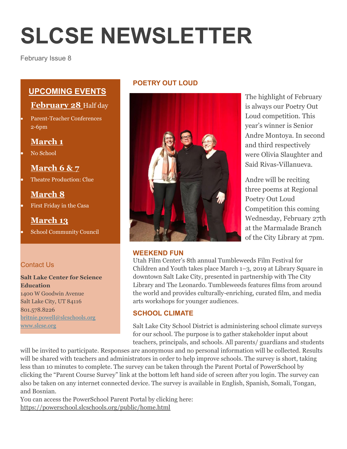# **SLCSE NEWSLETTER**

February Issue 8

# **UPCOMING EVENTS**

## **February 28** Half day

 Parent-Teacher Conferences 2-6pm

## **March 1**

No School

**March 6 & 7**

Theatre Production: Clue

# **March 8**

First Friday in the Casa

# **March 13**

School Community Council

## Contact Us

#### **Salt Lake Center for Science Education** 1400 W Goodwin Avenue

Salt Lake City, UT 84116 801.578.8226 [britnie.powell@slcschools.org](mailto:britnie.powell@slcschools.org) [www.slcse.org](http://www.slcse.org/)

### **POETRY OUT LOUD**



#### **WEEKEND FUN**

The highlight of February is always our Poetry Out Loud competition. This year's winner is Senior Andre Montoya. In second and third respectively were Olivia Slaughter and Said Rivas-Villanueva.

Andre will be reciting three poems at Regional Poetry Out Loud Competition this coming Wednesday, February 27th at the Marmalade Branch of the City Library at 7pm.

Utah Film Center's 8th annual Tumbleweeds Film Festival for Children and Youth takes place March 1–3, 2019 at Library Square in downtown Salt Lake City, presented in partnership with The City Library and The Leonardo. Tumbleweeds features films from around the world and provides culturally-enriching, curated film, and media arts workshops for younger audiences.

#### **SCHOOL CLIMATE**

Salt Lake City School District is administering school climate surveys for our school. The purpose is to gather stakeholder input about teachers, principals, and schools. All parents/ guardians and students

will be invited to participate. Responses are anonymous and no personal information will be collected. Results will be shared with teachers and administrators in order to help improve schools. The survey is short, taking less than 10 minutes to complete. The survey can be taken through the Parent Portal of PowerSchool by clicking the "Parent Course Survey" link at the bottom left hand side of screen after you login. The survey can also be taken on any internet connected device. The survey is available in English, Spanish, Somali, Tongan, and Bosnian.

You can access the PowerSchool Parent Portal by clicking here: <https://powerschool.slcschools.org/public/home.html>